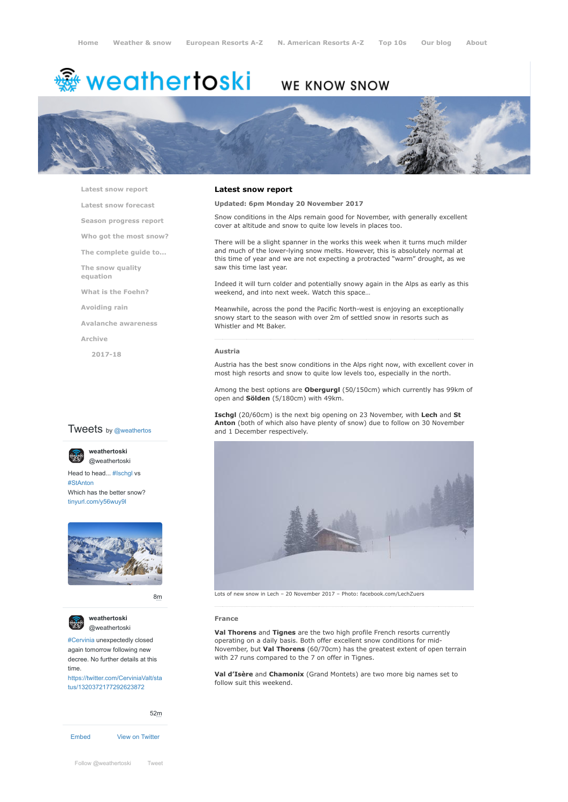# <sup>鑫</sup> weathertoski

# WE KNOW SNOW



**[Latest snow report](https://www.weathertoski.co.uk/weather-snow/latest-snow-report/)**

**[Latest snow forecast](https://www.weathertoski.co.uk/weather-snow/latest-snow-forecast/)**

**[Season progress report](https://www.weathertoski.co.uk/weather-snow/season-progress-report/)**

**[Who got the most snow?](https://www.weathertoski.co.uk/weather-snow/who-got-the-most-snow/)**

**[The complete guide to...](https://www.weathertoski.co.uk/weather-snow/the-complete-guide-to/)**

**[The snow quality](https://www.weathertoski.co.uk/weather-snow/the-snow-quality-equation/)**

**[What is the Foehn?](https://www.weathertoski.co.uk/weather-snow/what-is-the-foehn/)**

**[Avoiding rain](https://www.weathertoski.co.uk/weather-snow/avoiding-rain/)**

**[Avalanche awareness](https://www.weathertoski.co.uk/weather-snow/avalanche-awareness/)**

**[Archive](https://www.weathertoski.co.uk/weather-snow/archive/)**

**equation**

**[2017-18](https://www.weathertoski.co.uk/weather-snow/archive/2017-18/)**

#### **Latest snow report**

## **Updated: 6pm Monday 20 November 2017**

Snow conditions in the Alps remain good for November, with generally excellent cover at altitude and snow to quite low levels in places too.

There will be a slight spanner in the works this week when it turns much milder and much of the lower-lying snow melts. However, this is absolutely normal at this time of year and we are not expecting a protracted "warm" drought, as we saw this time last year.

Indeed it will turn colder and potentially snowy again in the Alps as early as this weekend, and into next week. Watch this space…

Meanwhile, across the pond the Pacific North-west is enjoying an exceptionally snowy start to the season with over 2m of settled snow in resorts such as Whistler and Mt Baker.

#### **Austria**

Austria has the best snow conditions in the Alps right now, with excellent cover in most high resorts and snow to quite low levels too, especially in the north.

Among the best options are **Obergurgl** (50/150cm) which currently has 99km of open and **Sölden** (5/180cm) with 49km.

**Ischgl** (20/60cm) is the next big opening on 23 November, with **Lech** and **St Anton** (both of which also have plenty of snow) due to follow on 30 November and 1 December respectively.



Lots of new snow in Lech – 20 November 2017 – Photo: facebook.com/LechZuers

#### **France**

**Val Thorens** and **Tignes** are the two high profile French resorts currently operating on a daily basis. Both offer excellent snow conditions for mid-November, but **Val Thorens** (60/70cm) has the greatest extent of open terrain with 27 runs compared to the 7 on offer in Tignes.

**Val d'Isère** and **Chamonix** (Grand Montets) are two more big names set to follow suit this weekend.

## **Tweets** by @weathertos

**weathertoski**







[8m](https://twitter.com/weathertoski/status/1320387692862050304)





[#Cervinia](https://twitter.com/hashtag/Cervinia?src=hash) unexpectedly closed again tomorrow following new decree. No further details at this time. [https://twitter.com/CerviniaValt/sta](https://twitter.com/CerviniaValt/status/1320372177292623872)

tus/1320372177292623872

[Embed](https://publish.twitter.com/?url=https%3A%2F%2Ftwitter.com%2Fweathertoski) [View on Twitter](https://twitter.com/weathertoski) [52m](https://twitter.com/weathertoski/status/1320376647305093126)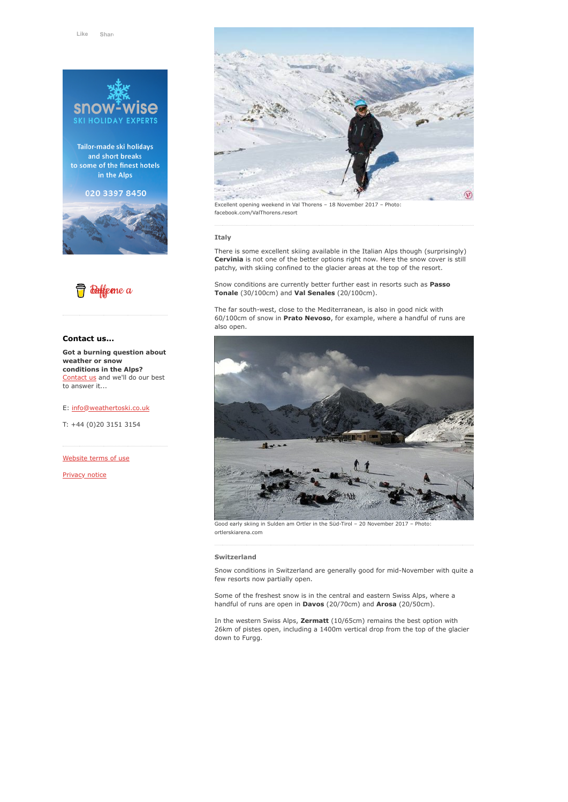

Tailor-made ski holidays and short breaks to some of the finest hotels in the Alps

# 020 3397 8450





## **Contact us...**

**Got a burning question about weather or snow conditions in the Alps?** [Contact us](https://www.weathertoski.co.uk/about-1/contact-us/) and we'll do our best to answer it...

#### E: [info@weathertoski.co.uk](mailto:fraser@weathertoski.co.uk)

T: +44 (0)20 3151 3154

[Website terms of use](https://www.weathertoski.co.uk/about-1/website-terms-of-use/)

[Privacy notice](https://www.weathertoski.co.uk/about-1/privacy-notice/)



#### **Italy**

There is some excellent skiing available in the Italian Alps though (surprisingly) **Cervinia** is not one of the better options right now. Here the snow cover is still patchy, with skiing confined to the glacier areas at the top of the resort.

Snow conditions are currently better further east in resorts such as **Passo Tonale** (30/100cm) and **Val Senales** (20/100cm).

The far south-west, close to the Mediterranean, is also in good nick with 60/100cm of snow in **Prato Nevoso**, for example, where a handful of runs are also open.



Good early skiing in Sulden am Ortler in the Süd-Tirol – 20 November 2017 – Photo: ortlerskiarena.com

#### **Switzerland**

Snow conditions in Switzerland are generally good for mid-November with quite a few resorts now partially open.

Some of the freshest snow is in the central and eastern Swiss Alps, where a handful of runs are open in **Davos** (20/70cm) and **Arosa** (20/50cm).

In the western Swiss Alps, **Zermatt** (10/65cm) remains the best option with 26km of pistes open, including a 1400m vertical drop from the top of the glacier down to Furgg.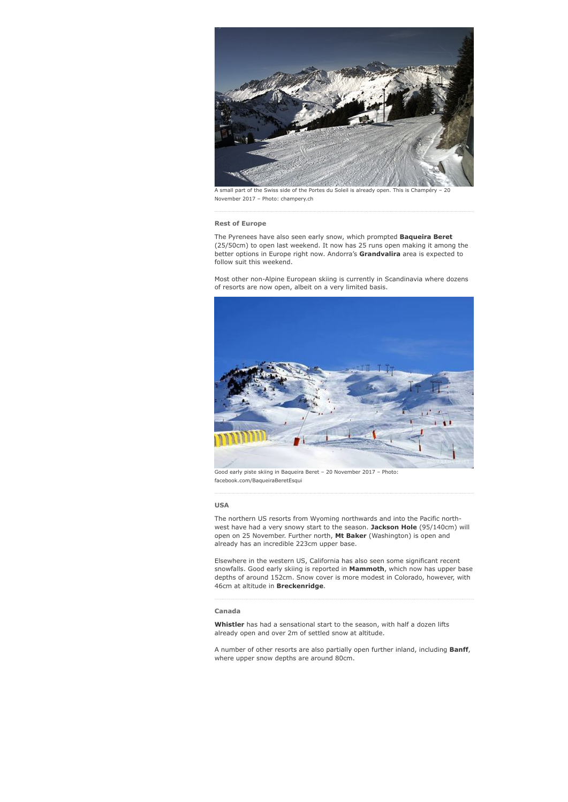

A small part of the Swiss side of the Portes du Soleil is already open. This is Champéry – 20 November 2017 – Photo: champery.ch

#### **Rest of Europe**

The Pyrenees have also seen early snow, which prompted **Baqueira Beret** (25/50cm) to open last weekend. It now has 25 runs open making it among the better options in Europe right now. Andorra's **Grandvalira** area is expected to follow suit this weekend.

Most other non-Alpine European skiing is currently in Scandinavia where dozens of resorts are now open, albeit on a very limited basis.



Good early piste skiing in Baqueira Beret – 20 November 2017 – Photo: facebook.com/BaqueiraBeretEsqui

## **USA**

The northern US resorts from Wyoming northwards and into the Pacific northwest have had a very snowy start to the season. **Jackson Hole** (95/140cm) will open on 25 November. Further north, **Mt Baker** (Washington) is open and already has an incredible 223cm upper base.

Elsewhere in the western US, California has also seen some significant recent snowfalls. Good early skiing is reported in **Mammoth**, which now has upper base depths of around 152cm. Snow cover is more modest in Colorado, however, with 46cm at altitude in **Breckenridge**.

#### **Canada**

**Whistler** has had a sensational start to the season, with half a dozen lifts already open and over 2m of settled snow at altitude.

A number of other resorts are also partially open further inland, including **Banff**, where upper snow depths are around 80cm.